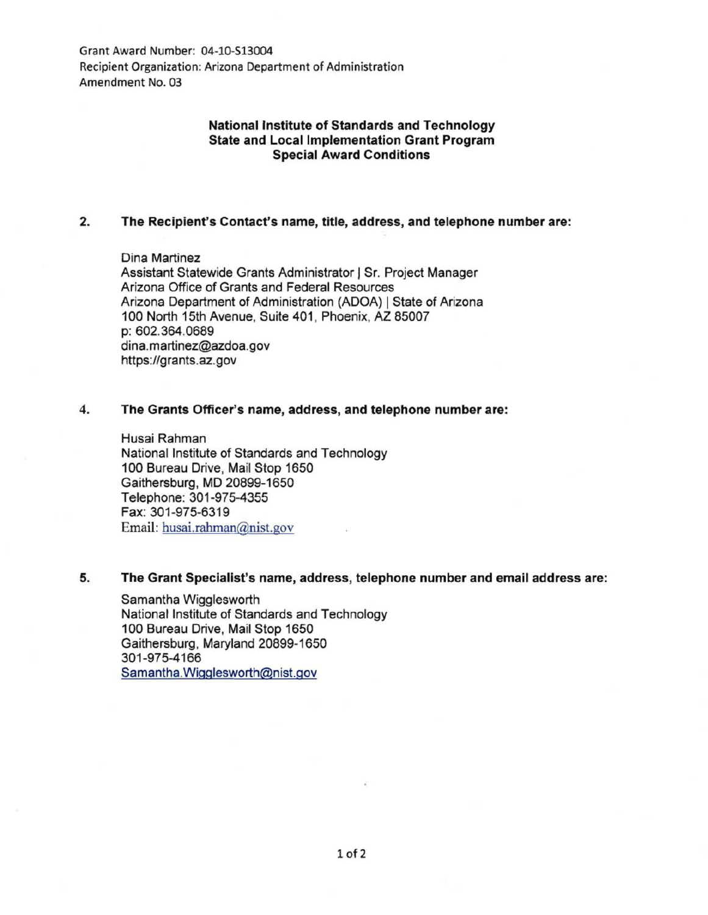Grant Award Number: 04-10-513004 Recipient Organization: Arizona Department of Administration Amendment No. 03

# **National Institute of Standards and Technology State and Local Implementation Grant Program Special Award Conditions**

# **2. The Recipient's Contact's name, title, address, and telephone number are:**

Dina Martinez Assistant Statewide Grants Administrator 1 Sr. Project Manager Arizona Office of Grants and Federal Resources Arizona Department of Administration (ADOA) 1 State of Arizona 100 North 15th Avenue, Suite 401 , Phoenix, AZ 85007 p: 602.364.0689 dina.martinez@azdoa.gov https:/lgrants.az. gov

#### **4. The Grants Officer's name, address, and telephone number are:**

Husai Rahman National Institute of Standards and Technology 100 Bureau Drive, Mail Stop 1650 Gaithersburg, MD 20899-1650 Telephone: 301-975-4355 Fax: 301 -975-6319 Email: husai.rahman@nist.gov

### **5. The Grant Specialist's name, address, telephone number and email address are:**

Samantha Wigglesworth National Institute of Standards and Technology 1 00 Bureau Drive, Mail Stop 1650 Gaithersburg, Maryland 20899-1650 301-975-4166 Samantha. Wigglesworth@nist.gov